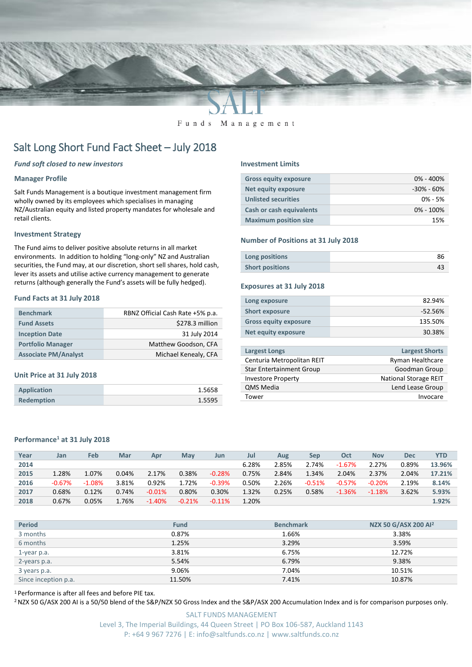

#### Funds Management

# Salt Long Short Fund Fact Sheet – July 2018

# *Fund soft closed to new investors*

## **Manager Profile**

Salt Funds Management is a boutique investment management firm wholly owned by its employees which specialises in managing NZ/Australian equity and listed property mandates for wholesale and retail clients.

#### **Investment Strategy**

The Fund aims to deliver positive absolute returns in all market environments. In addition to holding "long-only" NZ and Australian securities, the Fund may, at our discretion, short sell shares, hold cash, lever its assets and utilise active currency management to generate returns (although generally the Fund's assets will be fully hedged).

### **Fund Facts at 31 July 2018**

| <b>Benchmark</b>            | RBNZ Official Cash Rate +5% p.a. |
|-----------------------------|----------------------------------|
| <b>Fund Assets</b>          | \$278.3 million                  |
| <b>Inception Date</b>       | 31 July 2014                     |
| <b>Portfolio Manager</b>    | Matthew Goodson, CFA             |
| <b>Associate PM/Analyst</b> | Michael Kenealy, CFA             |

#### **Unit Price at 31 July 2018**

| <b>Application</b> | 1.5658 |
|--------------------|--------|
| <b>Redemption</b>  | 1.5595 |

#### **Investment Limits**

| <b>Gross equity exposure</b>    | $0\% - 400\%$  |
|---------------------------------|----------------|
| Net equity exposure             | $-30\% - 60\%$ |
| <b>Unlisted securities</b>      | $0\% - 5\%$    |
| <b>Cash or cash equivalents</b> | $0\% - 100\%$  |
| <b>Maximum position size</b>    | 15%            |

#### **Number of Positions at 31 July 2018**

| Long positions         |  |
|------------------------|--|
| <b>Short positions</b> |  |

#### **Exposures at 31 July 2018**

| Long exposure                | 82.94%    |
|------------------------------|-----------|
| <b>Short exposure</b>        | $-52.56%$ |
| <b>Gross equity exposure</b> | 135.50%   |
| Net equity exposure          | 30.38%    |
|                              |           |

| <b>Largest Longs</b>            | <b>Largest Shorts</b>        |
|---------------------------------|------------------------------|
| Centuria Metropolitan REIT      | Ryman Healthcare             |
| <b>Star Entertainment Group</b> | Goodman Group                |
| <b>Investore Property</b>       | <b>National Storage REIT</b> |
| <b>QMS Media</b>                | Lend Lease Group             |
| Tower                           | Invocare                     |
|                                 |                              |

# **Performance<sup>1</sup> at 31 July 2018**

| Year | Jan      | Feb      | Mar   | Apr      | May      | Jun      | Jul   | Aug   | Sep      | Oct      | <b>Nov</b> | Dec   | <b>YTD</b> |
|------|----------|----------|-------|----------|----------|----------|-------|-------|----------|----------|------------|-------|------------|
| 2014 |          |          |       |          |          |          | 6.28% | 2.85% | 2.74%    | $-1.67%$ | 2.27%      | 0.89% | 13.96%     |
| 2015 | 1.28%    | 1.07%    | 0.04% | 2.17%    | 0.38%    | $-0.28%$ | 0.75% | 2.84% | $1.34\%$ | 2.04%    | 2.37%      | 2.04% | 17.21%     |
| 2016 | $-0.67%$ | $-1.08%$ | 3.81% | 0.92%    | 1.72%    | $-0.39%$ | 0.50% | 2.26% | $-0.51%$ | $-0.57%$ | $-0.20%$   | 2.19% | 8.14%      |
| 2017 | 0.68%    | 0.12%    | 0.74% | $-0.01%$ | 0.80%    | 0.30%    | 1.32% | 0.25% | 0.58%    | $-1.36%$ | $-1.18%$   | 3.62% | 5.93%      |
| 2018 | 0.67%    | 0.05%    | 1.76% | $-1.40%$ | $-0.21%$ | $-0.11%$ | 1.20% |       |          |          |            |       | 1.92%      |

| <b>Period</b>        | <b>Fund</b> | <b>Benchmark</b> | NZX 50 G/ASX 200 Al <sup>2</sup> |
|----------------------|-------------|------------------|----------------------------------|
| 3 months             | 0.87%       | 1.66%            | 3.38%                            |
| 6 months             | 1.25%       | 3.29%            | 3.59%                            |
| 1-year p.a.          | 3.81%       | 6.75%            | 12.72%                           |
| 2-years p.a.         | 5.54%       | 6.79%            | 9.38%                            |
| 3 years p.a.         | 9.06%       | 7.04%            | 10.51%                           |
| Since inception p.a. | 11.50%      | 7.41%            | 10.87%                           |

<sup>1</sup> Performance is after all fees and before PIE tax.

<sup>2</sup> NZX 50 G/ASX 200 AI is a 50/50 blend of the S&P/NZX 50 Gross Index and the S&P/ASX 200 Accumulation Index and is for comparison purposes only.

SALT FUNDS MANAGEMENT Level 3, The Imperial Buildings, 44 Queen Street | PO Box 106-587, Auckland 1143 P: +64 9 967 7276 | E: info@saltfunds.co.nz | www.saltfunds.co.nz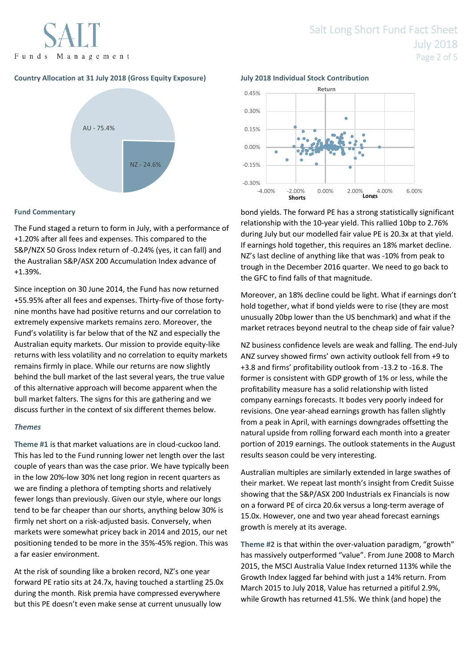

# **Country Allocation at 31 July 2018 (Gross Equity Exposure) July 2018 Individual Stock Contribution**



# **Fund Commentary**

The Fund staged a return to form in July, with a performance of +1.20% after all fees and expenses. This compared to the S&P/NZX 50 Gross Index return of -0.24% (yes, it can fall) and the Australian S&P/ASX 200 Accumulation Index advance of +1.39%.

Since inception on 30 June 2014, the Fund has now returned +55.95% after all fees and expenses. Thirty-five of those fortynine months have had positive returns and our correlation to extremely expensive markets remains zero. Moreover, the Fund's volatility is far below that of the NZ and especially the Australian equity markets. Our mission to provide equity-like returns with less volatility and no correlation to equity markets remains firmly in place. While our returns are now slightly behind the bull market of the last several years, the true value of this alternative approach will become apparent when the bull market falters. The signs for this are gathering and we discuss further in the context of six different themes below.

# *Themes*

**Theme #1** is that market valuations are in cloud-cuckoo land. This has led to the Fund running lower net length over the last couple of years than was the case prior. We have typically been in the low 20%-low 30% net long region in recent quarters as we are finding a plethora of tempting shorts and relatively fewer longs than previously. Given our style, where our longs tend to be far cheaper than our shorts, anything below 30% is firmly net short on a risk-adjusted basis. Conversely, when markets were somewhat pricey back in 2014 and 2015, our net positioning tended to be more in the 35%-45% region. This was a far easier environment.

At the risk of sounding like a broken record, NZ's one year forward PE ratio sits at 24.7x, having touched a startling 25.0x during the month. Risk premia have compressed everywhere but this PE doesn't even make sense at current unusually low



bond yields. The forward PE has a strong statistically significant relationship with the 10-year yield. This rallied 10bp to 2.76% during July but our modelled fair value PE is 20.3x at that yield. If earnings hold together, this requires an 18% market decline. NZ's last decline of anything like that was -10% from peak to trough in the December 2016 quarter. We need to go back to the GFC to find falls of that magnitude.

Moreover, an 18% decline could be light. What if earnings don't hold together, what if bond yields were to rise (they are most unusually 20bp lower than the US benchmark) and what if the market retraces beyond neutral to the cheap side of fair value?

NZ business confidence levels are weak and falling. The end-July ANZ survey showed firms' own activity outlook fell from +9 to +3.8 and firms' profitability outlook from -13.2 to -16.8. The former is consistent with GDP growth of 1% or less, while the profitability measure has a solid relationship with listed company earnings forecasts. It bodes very poorly indeed for revisions. One year-ahead earnings growth has fallen slightly from a peak in April, with earnings downgrades offsetting the natural upside from rolling forward each month into a greater portion of 2019 earnings. The outlook statements in the August results season could be very interesting.

Australian multiples are similarly extended in large swathes of their market. We repeat last month's insight from Credit Suisse showing that the S&P/ASX 200 Industrials ex Financials is now on a forward PE of circa 20.6x versus a long-term average of 15.0x. However, one and two year ahead forecast earnings growth is merely at its average.

**Theme #2** is that within the over-valuation paradigm, "growth" has massively outperformed "value". From June 2008 to March 2015, the MSCI Australia Value Index returned 113% while the Growth Index lagged far behind with just a 14% return. From March 2015 to July 2018, Value has returned a pitiful 2.9%, while Growth has returned 41.5%. We think (and hope) the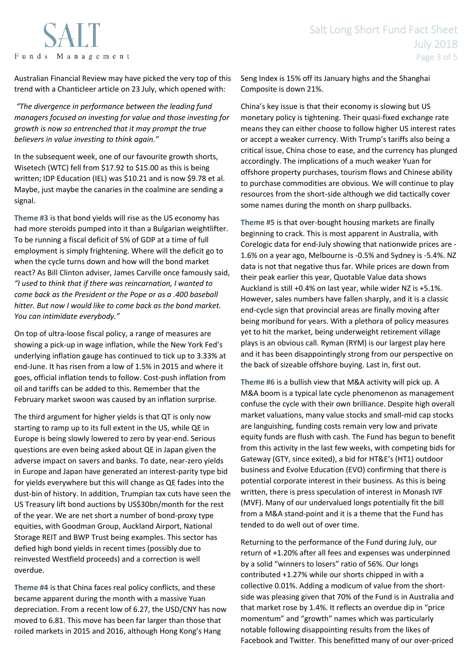

Australian Financial Review may have picked the very top of this trend with a Chanticleer article on 23 July, which opened with:

*"The divergence in performance between the leading fund managers focused on investing for value and those investing for growth is now so entrenched that it may prompt the true believers in value investing to think again."*

In the subsequent week, one of our favourite growth shorts, Wisetech (WTC) fell from \$17.92 to \$15.00 as this is being written; IDP Education (IEL) was \$10.21 and is now \$9.78 et al. Maybe, just maybe the canaries in the coalmine are sending a signal.

**Theme #3** is that bond yields will rise as the US economy has had more steroids pumped into it than a Bulgarian weightlifter. To be running a fiscal deficit of 5% of GDP at a time of full employment is simply frightening. Where will the deficit go to when the cycle turns down and how will the bond market react? As Bill Clinton adviser, James Carville once famously said, *"I used to think that if there was reincarnation, I wanted to come back as the President or the Pope or as a .400 baseball hitter. But now I would like to come back as the bond market. You can intimidate everybody."*

On top of ultra-loose fiscal policy, a range of measures are showing a pick-up in wage inflation, while the New York Fed's underlying inflation gauge has continued to tick up to 3.33% at end-June. It has risen from a low of 1.5% in 2015 and where it goes, official inflation tends to follow. Cost-push inflation from oil and tariffs can be added to this. Remember that the February market swoon was caused by an inflation surprise.

The third argument for higher yields is that QT is only now starting to ramp up to its full extent in the US, while QE in Europe is being slowly lowered to zero by year-end. Serious questions are even being asked about QE in Japan given the adverse impact on savers and banks. To date, near-zero yields in Europe and Japan have generated an interest-parity type bid for yields everywhere but this will change as QE fades into the dust-bin of history. In addition, Trumpian tax cuts have seen the US Treasury lift bond auctions by US\$30bn/month for the rest of the year. We are net short a number of bond-proxy type equities, with Goodman Group, Auckland Airport, National Storage REIT and BWP Trust being examples. This sector has defied high bond yields in recent times (possibly due to reinvested Westfield proceeds) and a correction is well overdue.

**Theme #4** is that China faces real policy conflicts, and these became apparent during the month with a massive Yuan depreciation. From a recent low of 6.27, the USD/CNY has now moved to 6.81. This move has been far larger than those that roiled markets in 2015 and 2016, although Hong Kong's Hang

Seng Index is 15% off its January highs and the Shanghai Composite is down 21%.

China's key issue is that their economy is slowing but US monetary policy is tightening. Their quasi-fixed exchange rate means they can either choose to follow higher US interest rates or accept a weaker currency. With Trump's tariffs also being a critical issue, China chose to ease, and the currency has plunged accordingly. The implications of a much weaker Yuan for offshore property purchases, tourism flows and Chinese ability to purchase commodities are obvious. We will continue to play resources from the short-side although we did tactically cover some names during the month on sharp pullbacks.

**Theme #5** is that over-bought housing markets are finally beginning to crack. This is most apparent in Australia, with Corelogic data for end-July showing that nationwide prices are - 1.6% on a year ago, Melbourne is -0.5% and Sydney is -5.4%. NZ data is not that negative thus far. While prices are down from their peak earlier this year, Quotable Value data shows Auckland is still +0.4% on last year, while wider NZ is +5.1%. However, sales numbers have fallen sharply, and it is a classic end-cycle sign that provincial areas are finally moving after being moribund for years. With a plethora of policy measures yet to hit the market, being underweight retirement village plays is an obvious call. Ryman (RYM) is our largest play here and it has been disappointingly strong from our perspective on the back of sizeable offshore buying. Last in, first out.

**Theme #6** is a bullish view that M&A activity will pick up. A M&A boom is a typical late cycle phenomenon as management confuse the cycle with their own brilliance. Despite high overall market valuations, many value stocks and small-mid cap stocks are languishing, funding costs remain very low and private equity funds are flush with cash. The Fund has begun to benefit from this activity in the last few weeks, with competing bids for Gateway (GTY, since exited), a bid for HT&E's (HT1) outdoor business and Evolve Education (EVO) confirming that there is potential corporate interest in their business. As this is being written, there is press speculation of interest in Monash IVF (MVF). Many of our undervalued longs potentially fit the bill from a M&A stand-point and it is a theme that the Fund has tended to do well out of over time.

Returning to the performance of the Fund during July, our return of +1.20% after all fees and expenses was underpinned by a solid "winners to losers" ratio of 56%. Our longs contributed +1.27% while our shorts chipped in with a collective 0.01%. Adding a modicum of value from the shortside was pleasing given that 70% of the Fund is in Australia and that market rose by 1.4%. It reflects an overdue dip in "price momentum" and "growth" names which was particularly notable following disappointing results from the likes of Facebook and Twitter. This benefitted many of our over-priced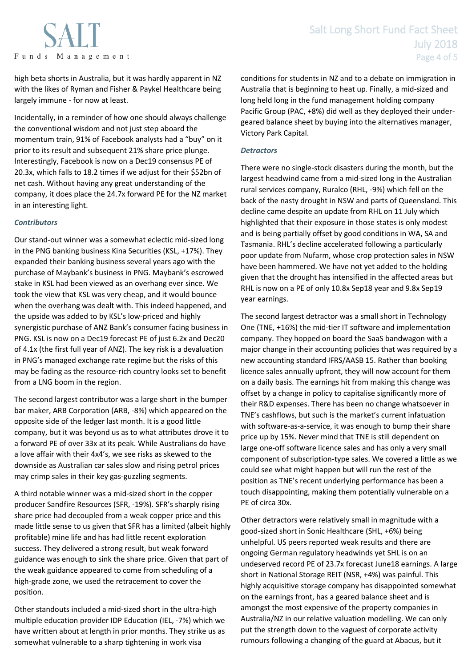

high beta shorts in Australia, but it was hardly apparent in NZ with the likes of Ryman and Fisher & Paykel Healthcare being largely immune - for now at least.

Incidentally, in a reminder of how one should always challenge the conventional wisdom and not just step aboard the momentum train, 91% of Facebook analysts had a "buy" on it prior to its result and subsequent 21% share price plunge. Interestingly, Facebook is now on a Dec19 consensus PE of 20.3x, which falls to 18.2 times if we adjust for their \$52bn of net cash. Without having any great understanding of the company, it does place the 24.7x forward PE for the NZ market in an interesting light.

# *Contributors*

Our stand-out winner was a somewhat eclectic mid-sized long in the PNG banking business Kina Securities (KSL, +17%). They expanded their banking business several years ago with the purchase of Maybank's business in PNG. Maybank's escrowed stake in KSL had been viewed as an overhang ever since. We took the view that KSL was very cheap, and it would bounce when the overhang was dealt with. This indeed happened, and the upside was added to by KSL's low-priced and highly synergistic purchase of ANZ Bank's consumer facing business in PNG. KSL is now on a Dec19 forecast PE of just 6.2x and Dec20 of 4.1x (the first full year of ANZ). The key risk is a devaluation in PNG's managed exchange rate regime but the risks of this may be fading as the resource-rich country looks set to benefit from a LNG boom in the region.

The second largest contributor was a large short in the bumper bar maker, ARB Corporation (ARB, -8%) which appeared on the opposite side of the ledger last month. It is a good little company, but it was beyond us as to what attributes drove it to a forward PE of over 33x at its peak. While Australians do have a love affair with their 4x4's, we see risks as skewed to the downside as Australian car sales slow and rising petrol prices may crimp sales in their key gas-guzzling segments.

A third notable winner was a mid-sized short in the copper producer Sandfire Resources (SFR, -19%). SFR's sharply rising share price had decoupled from a weak copper price and this made little sense to us given that SFR has a limited (albeit highly profitable) mine life and has had little recent exploration success. They delivered a strong result, but weak forward guidance was enough to sink the share price. Given that part of the weak guidance appeared to come from scheduling of a high-grade zone, we used the retracement to cover the position.

Other standouts included a mid-sized short in the ultra-high multiple education provider IDP Education (IEL, -7%) which we have written about at length in prior months. They strike us as somewhat vulnerable to a sharp tightening in work visa

conditions for students in NZ and to a debate on immigration in Australia that is beginning to heat up. Finally, a mid-sized and long held long in the fund management holding company Pacific Group (PAC, +8%) did well as they deployed their undergeared balance sheet by buying into the alternatives manager, Victory Park Capital.

# *Detractors*

There were no single-stock disasters during the month, but the largest headwind came from a mid-sized long in the Australian rural services company, Ruralco (RHL, -9%) which fell on the back of the nasty drought in NSW and parts of Queensland. This decline came despite an update from RHL on 11 July which highlighted that their exposure in those states is only modest and is being partially offset by good conditions in WA, SA and Tasmania. RHL's decline accelerated following a particularly poor update from Nufarm, whose crop protection sales in NSW have been hammered. We have not yet added to the holding given that the drought has intensified in the affected areas but RHL is now on a PE of only 10.8x Sep18 year and 9.8x Sep19 year earnings.

The second largest detractor was a small short in Technology One (TNE, +16%) the mid-tier IT software and implementation company. They hopped on board the SaaS bandwagon with a major change in their accounting policies that was required by a new accounting standard IFRS/AASB 15. Rather than booking licence sales annually upfront, they will now account for them on a daily basis. The earnings hit from making this change was offset by a change in policy to capitalise significantly more of their R&D expenses. There has been no change whatsoever in TNE's cashflows, but such is the market's current infatuation with software-as-a-service, it was enough to bump their share price up by 15%. Never mind that TNE is still dependent on large one-off software licence sales and has only a very small component of subscription-type sales. We covered a little as we could see what might happen but will run the rest of the position as TNE's recent underlying performance has been a touch disappointing, making them potentially vulnerable on a PE of circa 30x.

Other detractors were relatively small in magnitude with a good-sized short in Sonic Healthcare (SHL, +6%) being unhelpful. US peers reported weak results and there are ongoing German regulatory headwinds yet SHL is on an undeserved record PE of 23.7x forecast June18 earnings. A large short in National Storage REIT (NSR, +4%) was painful. This highly acquisitive storage company has disappointed somewhat on the earnings front, has a geared balance sheet and is amongst the most expensive of the property companies in Australia/NZ in our relative valuation modelling. We can only put the strength down to the vaguest of corporate activity rumours following a changing of the guard at Abacus, but it